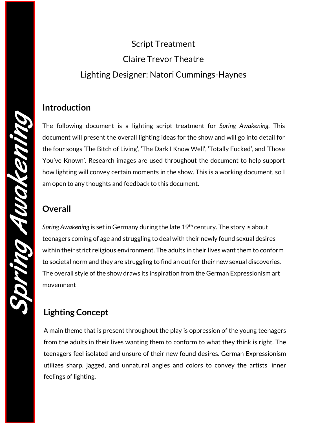# Script Treatment Claire Trevor Theatre Lighting Designer: Natori Cummings-Haynes

The following document is a lighting script treatment for *Spring Awakening.* This document will present the overall lighting ideas for the show and will go into detail for the four songs 'The Bitch of Living', 'The Dark I Know Well', 'Totally Fucked', and 'Those You've Known'. Research images are used throughout the document to help support how lighting will convey certain moments in the show. This is a working document, so I am open to any thoughts and feedback to this document.

## **Overall**

*Spring Awakening* is set in Germany during the late 19th century. The story is about teenagers coming of age and struggling to deal with their newly found sexual desires within their strict religious environment. The adults in their lives want them to conform to societal norm and they are struggling to find an out for their new sexual discoveries. The overall style of the show draws its inspiration from the German Expressionism art movemnent

# **Lighting Concept**

A main theme that is present throughout the play is oppression of the young teenagers from the adults in their lives wanting them to conform to what they think is right. The teenagers feel isolated and unsure of their new found desires. German Expressionism utilizes sharp, jagged, and unnatural angles and colors to convey the artists' inner feelings of lighting.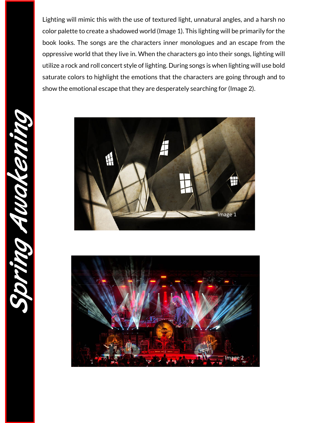Lighting will mimic this with the use of textured light, unnatural angles, and a harsh no color palette to create a shadowed world (Image 1). This lighting will be primarily for the book looks. The songs are the characters inner monologues and an escape from the oppressive world that they live in. When the characters go into their songs, lighting will utilize a rock and roll concert style of lighting. During songs is when lighting will use bold saturate colors to highlight the emotions that the characters are going through and to show the emotional escape that they are desperately searching for (Image 2).





Spring Awakening MONO SI DWA CK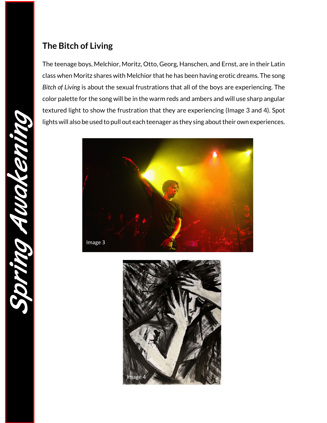### **The Bitch of Living**

The teenage boys, Melchior, Moritz, Otto, Georg, Hanschen, and Ernst, are in their Latin class when Moritz shares with Melchior that he has been having erotic dreams. The song *Bitch of Living* is about the sexual frustrations that all of the boys are experiencing. The color palette for the song will be in the warm reds and ambers and will use sharp angular textured light to show the frustration that they are experiencing (Image 3 and 4). Spot lights will also be used to pull out each teenager as they sing about their own experiences.



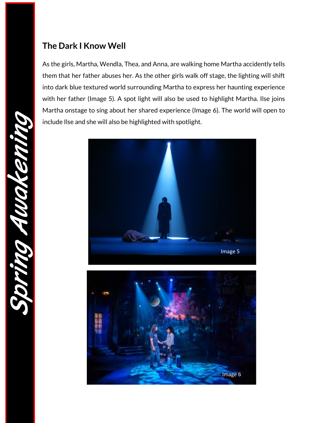# **The Dark I Know Well**

As the girls, Martha, Wendla, Thea, and Anna, are walking home Martha accidently tells them that her father abuses her. As the other girls walk off stage, the lighting will shift into dark blue textured world surrounding Martha to express her haunting experience with her father (Image 5). A spot light will also be used to highlight Martha. Ilse joins Martha onstage to sing about her shared experience (Image 6). The world will open to include Ilse and she will also be highlighted with spotlight.



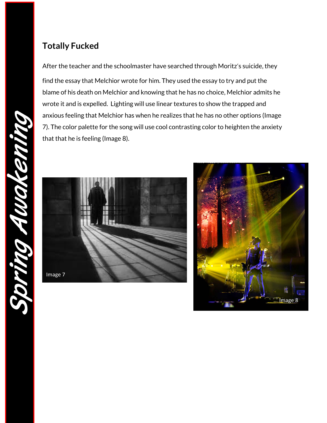# **Totally Fucked**

After the teacher and the schoolmaster have searched through Moritz's suicide, they find the essay that Melchior wrote for him. They used the essay to try and put the blame of his death on Melchior and knowing that he has no choice, Melchior admits he wrote it and is expelled. Lighting will use linear textures to show the trapped and anxious feeling that Melchior has when he realizes that he has no other options (Image 7). The color palette for the song will use cool contrasting color to heighten the anxiety that that he is feeling (Image 8).